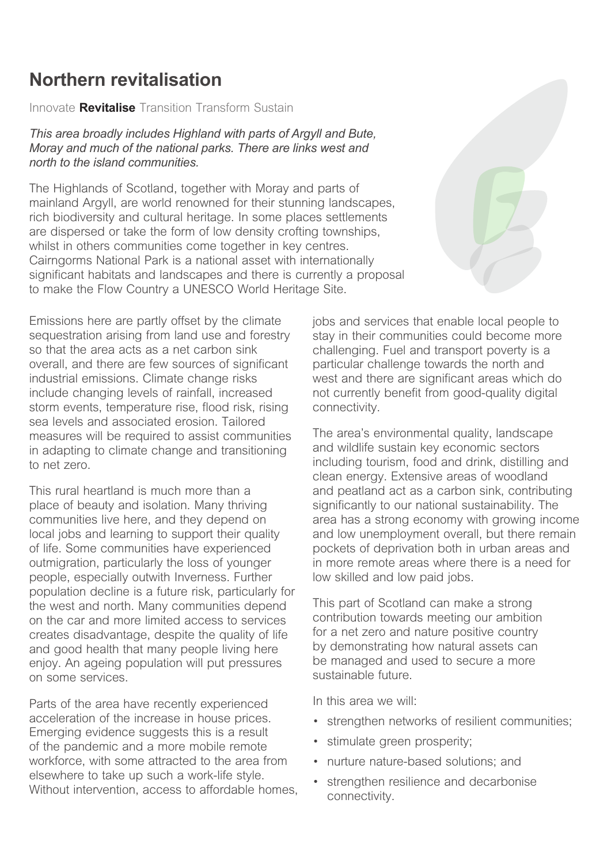# **Northern revitalisation**

*Innovate* **Revitalise** *Transition Transform Sustain*

*This area broadly includes Highland with parts of Argyll and Bute, Moray and much of the national parks. There are links west and north to the island communities.*

*The Highlands of Scotland, together with Moray and parts of mainland Argyll, are world renowned for their stunning landscapes, rich biodiversity and cultural heritage. In some places settlements are dispersed or take the form of low density crofting townships, whilst in others communities come together in key centres. Cairngorms National Park is a national asset with internationally significant habitats and landscapes and there is currently a proposal to make the Flow Country a UNESCO World Heritage Site.*

*Emissions here are partly offset by the climate sequestration arising from land use and forestry so that the area acts as a net carbon sink overall, and there are few sources of significant industrial emissions. Climate change risks include changing levels of rainfall, increased storm events, temperature rise, flood risk, rising sea levels and associated erosion. Tailored measures will be required to assist communities in adapting to climate change and transitioning to net zero.*

*This rural heartland is much more than a place of beauty and isolation. Many thriving communities live here, and they depend on local jobs and learning to support their quality of life. Some communities have experienced outmigration, particularly the loss of younger people, especially outwith Inverness. Further population decline is a future risk, particularly for the west and north. Many communities depend on the car and more limited access to services creates disadvantage, despite the quality of life and good health that many people living here enjoy. An ageing population will put pressures on some services.*

*Parts of the area have recently experienced acceleration of the increase in house prices. Emerging evidence suggests this is a result of the pandemic and a more mobile remote workforce, with some attracted to the area from elsewhere to take up such a work-life style. Without intervention, access to affordable homes,*  *jobs and services that enable local people to stay in their communities could become more challenging. Fuel and transport poverty is a particular challenge towards the north and west and there are significant areas which do not currently benefit from good-quality digital connectivity.*

*The area's environmental quality, landscape and wildlife sustain key economic sectors including tourism, food and drink, distilling and clean energy. Extensive areas of woodland and peatland act as a carbon sink, contributing significantly to our national sustainability. The area has a strong economy with growing income and low unemployment overall, but there remain pockets of deprivation both in urban areas and in more remote areas where there is a need for low skilled and low paid jobs.*

*This part of Scotland can make a strong contribution towards meeting our ambition for a net zero and nature positive country by demonstrating how natural assets can be managed and used to secure a more sustainable future.*

*In this area we will:*

- *• strengthen networks of resilient communities;*
- *• stimulate green prosperity;*
- *• nurture nature-based solutions; and*
- *• strengthen resilience and decarbonise connectivity.*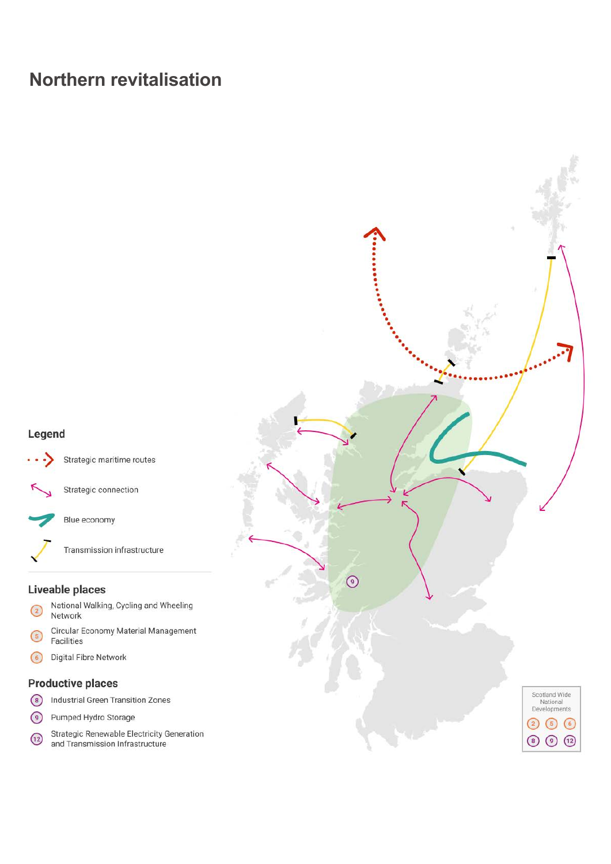## **Northern revitalisation**

### Legend



#### Liveable places

- National Walking, Cycling and Wheeling  $\circled{c}$ Network
- Circular Economy Material Management  $\left(5\right)$ Facilities
- $\odot$ Digital Fibre Network

### **Productive places**

- 8 Industrial Green Transition Zones
- $\odot$ Pumped Hydro Storage
- **Strategic Renewable Electricity Generation**  $\boxed{12}$ and Transmission Infrastructure

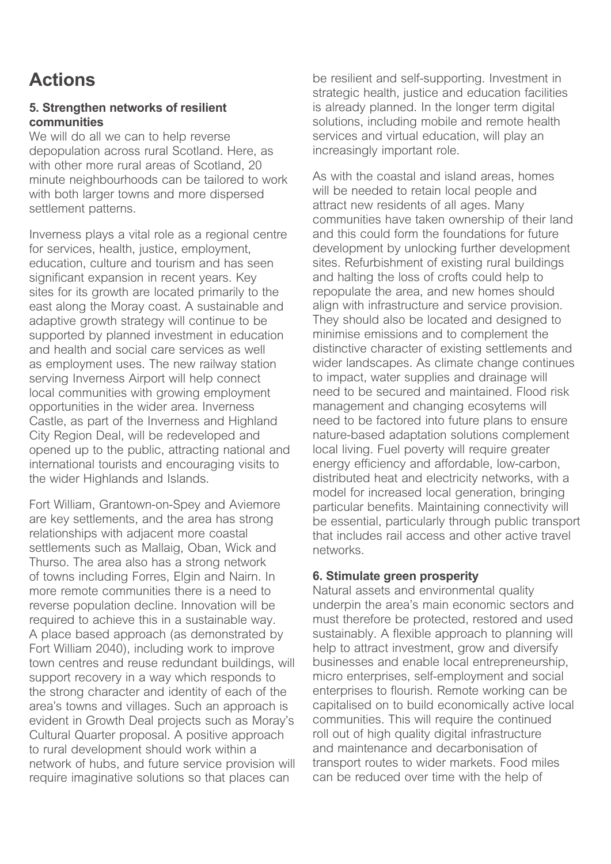# **Actions**

## **5. Strengthen networks of resilient communities**

*We will do all we can to help reverse depopulation across rural Scotland. Here, as with other more rural areas of Scotland, 20 minute neighbourhoods can be tailored to work with both larger towns and more dispersed settlement patterns.*

*Inverness plays a vital role as a regional centre for services, health, justice, employment, education, culture and tourism and has seen significant expansion in recent years. Key sites for its growth are located primarily to the east along the Moray coast. A sustainable and adaptive growth strategy will continue to be supported by planned investment in education and health and social care services as well as employment uses. The new railway station serving Inverness Airport will help connect local communities with growing employment opportunities in the wider area. Inverness Castle, as part of the Inverness and Highland City Region Deal, will be redeveloped and opened up to the public, attracting national and international tourists and encouraging visits to the wider Highlands and Islands.*

*Fort William, Grantown-on-Spey and Aviemore are key settlements, and the area has strong relationships with adjacent more coastal settlements such as Mallaig, Oban, Wick and Thurso. The area also has a strong network of towns including Forres, Elgin and Nairn. In more remote communities there is a need to reverse population decline. Innovation will be required to achieve this in a sustainable way. A place based approach (as demonstrated by Fort William 2040), including work to improve town centres and reuse redundant buildings, will support recovery in a way which responds to the strong character and identity of each of the area's towns and villages. Such an approach is evident in Growth Deal projects such as Moray's Cultural Quarter proposal. A positive approach to rural development should work within a network of hubs, and future service provision will require imaginative solutions so that places can* 

*be resilient and self-supporting. Investment in strategic health, justice and education facilities is already planned. In the longer term digital solutions, including mobile and remote health services and virtual education, will play an increasingly important role.*

*As with the coastal and island areas, homes*  will be needed to retain local people and *attract new residents of all ages. Many communities have taken ownership of their land and this could form the foundations for future development by unlocking further development sites. Refurbishment of existing rural buildings and halting the loss of crofts could help to repopulate the area, and new homes should align with infrastructure and service provision. They should also be located and designed to minimise emissions and to complement the distinctive character of existing settlements and wider landscapes. As climate change continues to impact, water supplies and drainage will need to be secured and maintained. Flood risk management and changing ecosytems will need to be factored into future plans to ensure nature-based adaptation solutions complement local living. Fuel poverty will require greater energy efficiency and affordable, low-carbon, distributed heat and electricity networks, with a model for increased local generation, bringing particular benefits. Maintaining connectivity will be essential, particularly through public transport that includes rail access and other active travel networks.*

### **6. Stimulate green prosperity**

*Natural assets and environmental quality underpin the area's main economic sectors and must therefore be protected, restored and used sustainably. A flexible approach to planning will help to attract investment, grow and diversify businesses and enable local entrepreneurship, micro enterprises, self-employment and social enterprises to flourish. Remote working can be capitalised on to build economically active local communities. This will require the continued roll out of high quality digital infrastructure and maintenance and decarbonisation of transport routes to wider markets. Food miles can be reduced over time with the help of*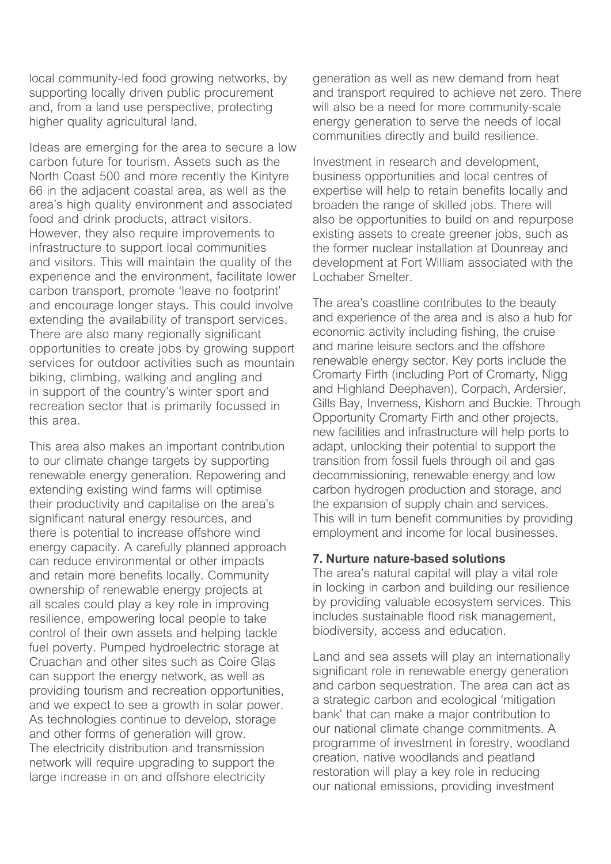*local community-led food growing networks, by supporting locally driven public procurement and, from a land use perspective, protecting higher quality agricultural land.*

*Ideas are emerging for the area to secure a low carbon future for tourism. Assets such as the North Coast 500 and more recently the Kintyre 66 in the adjacent coastal area, as well as the area's high quality environment and associated food and drink products, attract visitors. However, they also require improvements to infrastructure to support local communities and visitors. This will maintain the quality of the experience and the environment, facilitate lower carbon transport, promote 'leave no footprint' and encourage longer stays. This could involve extending the availability of transport services. There are also many regionally significant opportunities to create jobs by growing support services for outdoor activities such as mountain biking, climbing, walking and angling and in support of the country's winter sport and recreation sector that is primarily focussed in this area.*

*This area also makes an important contribution to our climate change targets by supporting renewable energy generation. Repowering and extending existing wind farms will optimise their productivity and capitalise on the area's significant natural energy resources, and there is potential to increase offshore wind energy capacity. A carefully planned approach can reduce environmental or other impacts and retain more benefits locally. Community ownership of renewable energy projects at all scales could play a key role in improving resilience, empowering local people to take control of their own assets and helping tackle fuel poverty. Pumped hydroelectric storage at Cruachan and other sites such as Coire Glas can support the energy network, as well as providing tourism and recreation opportunities, and we expect to see a growth in solar power. As technologies continue to develop, storage and other forms of generation will grow. The electricity distribution and transmission network will require upgrading to support the large increase in on and offshore electricity* 

*generation as well as new demand from heat and transport required to achieve net zero. There will also be a need for more community-scale energy generation to serve the needs of local communities directly and build resilience.*

*Investment in research and development, business opportunities and local centres of expertise will help to retain benefits locally and broaden the range of skilled jobs. There will also be opportunities to build on and repurpose existing assets to create greener jobs, such as the former nuclear installation at Dounreay and development at Fort William associated with the Lochaber Smelter.*

*The area's coastline contributes to the beauty and experience of the area and is also a hub for economic activity including fishing, the cruise and marine leisure sectors and the offshore renewable energy sector. Key ports include the Cromarty Firth (including Port of Cromarty, Nigg and Highland Deephaven), Corpach, Ardersier, Gills Bay, Inverness, Kishorn and Buckie. Through Opportunity Cromarty Firth and other projects, new facilities and infrastructure will help ports to adapt, unlocking their potential to support the transition from fossil fuels through oil and gas decommissioning, renewable energy and low carbon hydrogen production and storage, and the expansion of supply chain and services. This will in turn benefit communities by providing employment and income for local businesses.*

### **7. Nurture nature-based solutions**

*The area's natural capital will play a vital role in locking in carbon and building our resilience by providing valuable ecosystem services. This includes sustainable flood risk management, biodiversity, access and education.*

*Land and sea assets will play an internationally significant role in renewable energy generation and carbon sequestration. The area can act as a strategic carbon and ecological 'mitigation bank' that can make a major contribution to our national climate change commitments. A programme of investment in forestry, woodland creation, native woodlands and peatland restoration will play a key role in reducing our national emissions, providing investment*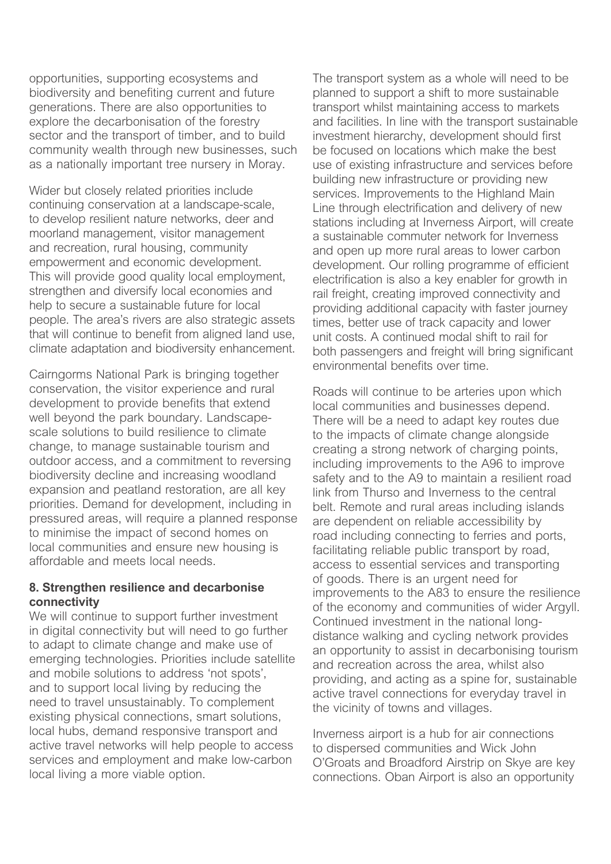*opportunities, supporting ecosystems and biodiversity and benefiting current and future generations. There are also opportunities to explore the decarbonisation of the forestry sector and the transport of timber, and to build community wealth through new businesses, such as a nationally important tree nursery in Moray.*

*Wider but closely related priorities include continuing conservation at a landscape-scale, to develop resilient nature networks, deer and moorland management, visitor management and recreation, rural housing, community empowerment and economic development. This will provide good quality local employment, strengthen and diversify local economies and help to secure a sustainable future for local people. The area's rivers are also strategic assets that will continue to benefit from aligned land use, climate adaptation and biodiversity enhancement.*

*Cairngorms National Park is bringing together conservation, the visitor experience and rural development to provide benefits that extend well beyond the park boundary. Landscapescale solutions to build resilience to climate change, to manage sustainable tourism and outdoor access, and a commitment to reversing biodiversity decline and increasing woodland expansion and peatland restoration, are all key priorities. Demand for development, including in pressured areas, will require a planned response to minimise the impact of second homes on local communities and ensure new housing is affordable and meets local needs.*

### **8. Strengthen resilience and decarbonise connectivity**

*We will continue to support further investment in digital connectivity but will need to go further to adapt to climate change and make use of emerging technologies. Priorities include satellite and mobile solutions to address 'not spots', and to support local living by reducing the need to travel unsustainably. To complement existing physical connections, smart solutions, local hubs, demand responsive transport and active travel networks will help people to access services and employment and make low-carbon local living a more viable option.*

*The transport system as a whole will need to be planned to support a shift to more sustainable transport whilst maintaining access to markets and facilities. In line with the transport sustainable investment hierarchy, development should first be focused on locations which make the best use of existing infrastructure and services before building new infrastructure or providing new services. Improvements to the Highland Main Line through electrification and delivery of new stations including at Inverness Airport, will create a sustainable commuter network for Inverness and open up more rural areas to lower carbon development. Our rolling programme of efficient electrification is also a key enabler for growth in rail freight, creating improved connectivity and providing additional capacity with faster journey times, better use of track capacity and lower unit costs. A continued modal shift to rail for both passengers and freight will bring significant environmental benefits over time.*

*Roads will continue to be arteries upon which local communities and businesses depend. There will be a need to adapt key routes due to the impacts of climate change alongside creating a strong network of charging points, including improvements to the A96 to improve safety and to the A9 to maintain a resilient road link from Thurso and Inverness to the central belt. Remote and rural areas including islands are dependent on reliable accessibility by road including connecting to ferries and ports, facilitating reliable public transport by road, access to essential services and transporting of goods. There is an urgent need for improvements to the A83 to ensure the resilience of the economy and communities of wider Argyll. Continued investment in the national longdistance walking and cycling network provides an opportunity to assist in decarbonising tourism and recreation across the area, whilst also providing, and acting as a spine for, sustainable active travel connections for everyday travel in the vicinity of towns and villages.*

*Inverness airport is a hub for air connections to dispersed communities and Wick John O'Groats and Broadford Airstrip on Skye are key connections. Oban Airport is also an opportunity*